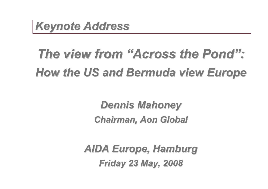

# *The view from "Across the Pond": How the US and Bermuda view Europe*

*Dennis Mahoney Chairman, Aon Global*

*AIDA Europe, Hamburg Friday 23 May, 2008*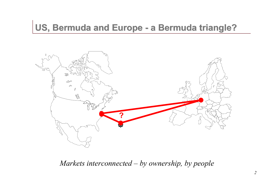### **US, Bermuda and Europe - a Bermuda triangle?**



*Markets interconnected – by ownership, by people*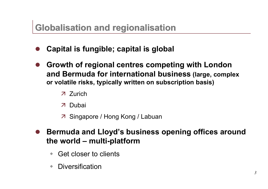### **Globalisation and regionalisation**

- l **Capital is fungible; capital is global**
- l **Growth of regional centres competing with London and Bermuda for international business (large, complex or volatile risks, typically written on subscription basis)**
	- ä Zurich
	- ä Dubai
	- ä Singapore / Hong Kong / Labuan
- l **Bermuda and Lloyd's business opening offices around the world – multi-platform**
	- Get closer to clients
	- Diversification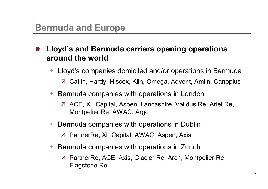### **Bermuda and Europe**

- l **Lloyd's and Bermuda carriers opening operations around the world**
	- Lloyd's companies domiciled and/or operations in Bermuda
		- ä Catlin, Hardy, Hiscox, Kiln, Omega, Advent, Amlin, Canopius
	- Bermuda companies with operations in London
		- ä ACE, XL Capital, Aspen, Lancashire, Validus Re, Ariel Re, Montpelier Re, AWAC, Argo
	- Bermuda companies with operations in Dublin
		- ä PartnerRe, XL Capital, AWAC, Aspen, Axis
	- Bermuda companies with operations in Zurich
		- ä PartnerRe, ACE, Axis, Glacier Re, Arch, Montpelier Re, Flagstone Re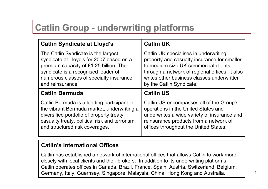### **Catlin Group - underwriting platforms**

| <b>Catlin Syndicate at Lloyd's</b>             | <b>Catlin UK</b>                               |  |
|------------------------------------------------|------------------------------------------------|--|
| The Catlin Syndicate is the largest            | Catlin UK specialises in underwriting          |  |
| syndicate at Lloyd's for 2007 based on a       | property and casualty insurance for smaller    |  |
| premium capacity of £1.25 billion. The         | to medium size UK commercial clients           |  |
| syndicate is a recognised leader of            | through a network of regional offices. It also |  |
| numerous classes of specialty insurance        | writes other business classes underwritten     |  |
| and reinsurance.                               | by the Catlin Syndicate.                       |  |
| <b>Catlin Bermuda</b>                          | <b>Catlin US</b>                               |  |
| Catlin Bermuda is a leading participant in     | Catlin US encompasses all of the Group's       |  |
| the vibrant Bermuda market, underwriting a     | operations in the United States and            |  |
| diversified portfolio of property treaty,      | underwrites a wide variety of insurance and    |  |
| casualty treaty, political risk and terrorism, | reinsurance products from a network of         |  |
| and structured risk coverages.                 | offices throughout the United States.          |  |

#### **Catlin's International Offices**

Catlin has established a network of international offices that allows Catlin to work more closely with local clients and their brokers. In addition to its underwriting platforms, Catlin operates offices in Canada, Brazil, France, Spain, Austria, Switzerland, Belgium, Germany, Italy, Guernsey, Singapore, Malaysia, China, Hong Kong and Australia.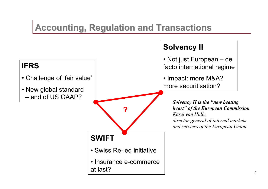### **Accounting, Regulation and Transactions**

#### **IFRS** • Challenge of 'fair value' • New global standard – end of US GAAP? **Solvency II** • Not just European – de facto international regime • Impact: more M&A? more securitisation? **SWIFT** • Swiss Re-led initiative • Insurance e-commerce at last? **?** *Solvency II is the "new beating heart" of the European Commission Karel van Hulle, director general of internal markets and services of the European Union*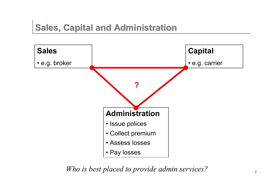### **Sales, Capital and Administration**



*Who is best placed to provide admin services?*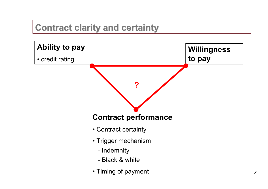### **Contract clarity and certainty**

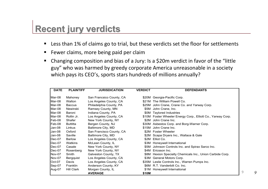## **Recent jury verdicts**

- Less than 1% of claims go to trial, but these verdicts set the floor for settlements
- Fewer claims, more being paid per claim
- Changing composition and bias of a Jury: Is a \$20m verdict in favor of the "little guy" who was harmed by greedy corporate America unreasonable in a society which pays its CEO's, sports stars hundreds of millions annually?

| <b>DATE</b>   | <b>PLAINTIFF</b>  | <b>JURISDICATION</b>     | <b>VERDICT</b> | <b>DEFENDANTS</b>                                            |
|---------------|-------------------|--------------------------|----------------|--------------------------------------------------------------|
| Mar-08        | Mahoney           | San Francsico County, CA |                | \$20M Georgia-Pacific Corp.                                  |
| Mar-08        | Walton            | Los Angeles County, CA   |                | \$21M The William Powell Co.                                 |
| Mar-08        | <b>Baccus</b>     | Philadelphia County, PA  |                | \$25M John Crane, Crane Co. and Yarway Corp.                 |
| Mar-08        | Newinski          | Ramsey County, MN        |                | \$5M John Crane, Inc.                                        |
| Mar-08        | Baroni            | Indiana County, PA       |                | \$0M Taylored Industries                                     |
| Mar-08        | Rollin Jr.        | Los Angeles County, CA   |                | \$10M Foster Wheeler Energy Corp., Elliott Co., Yarway Corp. |
| Feb-08        | Shafer            | New York County, NY      |                | \$2M John Crane Inc.                                         |
| Feb-08        | <b>Buttitta</b>   | Bergen County, NJ        |                | \$30M Asbestos Corp. and Borg-Warner Corp.                   |
| Jan-08        | Linkus            | Baltimore City, MD       |                | \$15M John Crane Inc.                                        |
| Jan-08        | Oxford            | San Francisco County, CA |                | \$2M Foster Wheeler                                          |
| Jan-08        | Saville           | Baltimore City, MD       |                | \$2M Scapa Dryers Inc., Wallace & Gale                       |
| Dec-07        | Barlow            | Los Angeles County, CA   | \$2M           | Elliot Co.                                                   |
| Dec-07        | Watkins           | McLean County, IL        |                | \$3M Honeywell International                                 |
| Dec-07        | Casale            | New York County, NY      |                | \$5M Johnson Controls Inc. and Spirax Sarco Inc.             |
| Dec-07        | Rosenberg         | New York County, NY      |                | \$4M Ericsson Inc.                                           |
| Nov-07        | Smith             | Galveston County, TX     | \$8M           | Hexion Specialty Chemicals Inc., Union Carbide Corp.         |
| <b>Nov-07</b> | Bergquist         | Los Angeles County, CA   | \$3M           | General Motors Corp.                                         |
| Oct-07        | Davis             | Los Angeles County, CA   |                | \$35M Leslie Controls Inc., Warren Pumps Inc.                |
| Sep-07        | Franklin          | Anderson County, KY      |                | \$6M R.T. Vanderbilt Co. Inc.                                |
| Aug-07        | <b>Hill Clark</b> | Morgan County, IL        |                | \$1M Honeywell International                                 |
|               |                   | <b>AVERAGE</b>           | \$10M          |                                                              |

9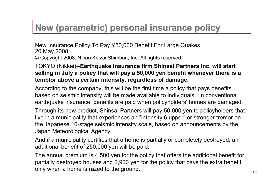### **New (parametric) personal insurance policy**

New Insurance Policy To Pay Y50,000 Benefit For Large Quakes 20 May 2008 © Copyright 2008. Nihon Keizai Shimbun, Inc. All rights reserved.

TOKYO (Nikkei)--**Earthquake insurance firm Shinsai Partners Inc. will start selling in July a policy that will pay a 50,000 yen benefit whenever there is a temblor above a certain intensity, regardless of damage.**

According to the company, this will be the first time a policy that pays benefits based on seismic intensity will be made available to individuals. In conventional earthquake insurance, benefits are paid when policyholders' homes are damaged.

Through its new product, Shinsai Partners will pay 50,000 yen to policyholders that live in a municipality that experiences an "intensity 6 upper" or stronger tremor on the Japanese 10-stage seismic intensity scale, based on announcements by the Japan Meteorological Agency.

And if a municipality certifies that a home is partially or completely destroyed, an additional benefit of 250,000 yen will be paid.

The annual premium is 4,500 yen for the policy that offers the additional benefit for partially destroyed houses and 2,900 yen for the policy that pays the extra benefit only when a home is razed to the ground.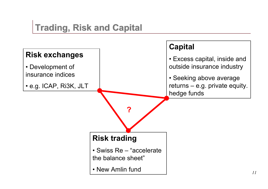### **Trading, Risk and Capital**

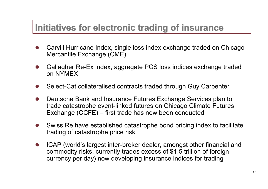### **Initiatives for electronic trading of insurance**

- Carvill Hurricane Index, single loss index exchange traded on Chicago Mercantile Exchange (CME)
- l Gallagher Re-Ex index, aggregate PCS loss indices exchange traded on NYMEX
- Select-Cat collateralised contracts traded through Guy Carpenter
- Deutsche Bank and Insurance Futures Exchange Services plan to trade catastrophe event-linked futures on Chicago Climate Futures Exchange (CCFE) – first trade has now been conducted
- Swiss Re have established catastrophe bond pricing index to facilitate trading of catastrophe price risk
- ICAP (world's largest inter-broker dealer, amongst other financial and commodity risks, currently trades excess of \$1.5 trillion of foreign currency per day) now developing insurance indices for trading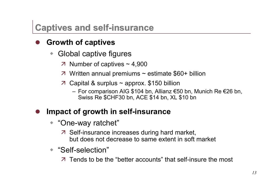### **Captives and self-insurance**

### l **Growth of captives**

- Global captive figures
	- $\overline{a}$  Number of captives ~ 4,900
	- $\overline{a}$  Written annual premiums ~ estimate \$60+ billion
	- $\overline{z}$  Capital & surplus ~ approx. \$150 billion
		- For comparison AIG \$104 bn, Allianz €50 bn, Munich Re €26 bn, Swiss Re \$CHF30 bn, ACE \$14 bn, XL \$10 bn

### **Impact of growth in self-insurance**

- "One-way ratchet"
	- ä Self-insurance increases during hard market, but does not decrease to same extent in soft market
- ◆ "Self-selection"

ä Tends to be the "better accounts" that self-insure the most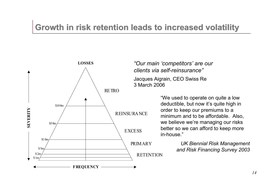### **Growth in risk retention leads to increased volatility**



*"Our main 'competitors' are our clients via self-reinsurance"* Jacques Aigrain, CEO Swiss Re 3 March 2006

> "We used to operate on quite a low deductible, but now it's quite high in order to keep our premiums to a minimum and to be affordable. Also, we believe we're managing our risks better so we can afford to keep more in-house."

> > *UK Biennial Risk Management and Risk Financing Survey 2003*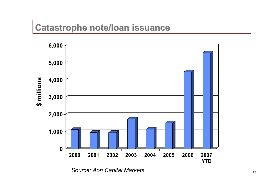### **Catastrophe note/loan issuance**



*Source: Aon Capital Markets*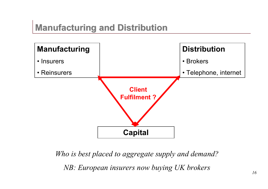### **Manufacturing and Distribution**



*Who is best placed to aggregate supply and demand? NB: European insurers now buying UK brokers*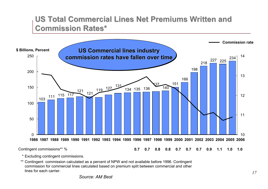#### **US Total Commercial Lines Net Premiums Written and Commission Rates\***



\* Excluding contingent commissions.

\*\* Contingent commission calculated as a percent of NPW and not available before 1996. Contingent commission for commercial lines calculated based on premium split between commercial and other lines for each carrier.

*Source: AM Best*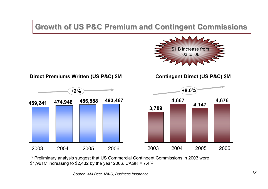#### **Growth of US P&C Premium and Contingent Commissions**



\* Preliminary analysis suggest that US Commercial Contingent Commissions in 2003 were \$1,961M increasing to \$2,432 by the year 2006. CAGR = 7.4%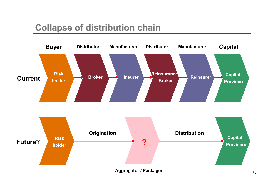### **Collapse of distribution chain**

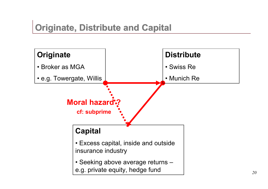## **Originate, Distribute and Capital**

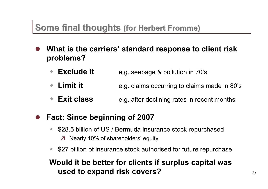### **Some final thoughts (for Herbert Fromme)**

- l **What is the carriers' standard response to client risk problems?**
	- **Exclude it** e.g. seepage & pollution in 70's
	- **Limit it** e.g. claims occurring to claims made in 80's
	- **Exit class** e.g. after declining rates in recent months

#### l **Fact: Since beginning of 2007**

- \$28.5 billion of US / Bermuda insurance stock repurchased ä Nearly 10% of shareholders' equity
- \$27 billion of insurance stock authorised for future repurchase

#### **Would it be better for clients if surplus capital was used to expand risk covers?**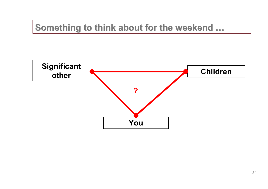### **Something to think about for the weekend …**

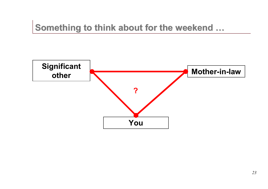### **Something to think about for the weekend …**